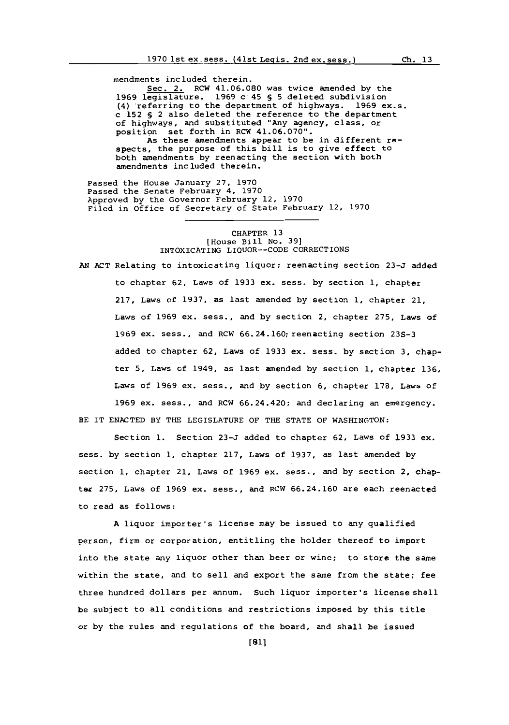mendments included therein.

Sec. 2. RCW 41.06.080 was twice amended **by** the **1969** legislature. **1969** c'45 **§ 5** deleted subdivision (4) referring to the department of highways. **1969** ex.s. c **152 §** 2 also deleted the reference to the department of highways, and substituted "Any agency, class, or position set forth in RCW 41.06.070".

As these amendments appear to be in different respects, the purpose of this bill is to give effect to both amendments **by** reenacting the section with both amendments included therein.

Passed the House January **27, 1970** Passed the Senate February 4, 1970 Approved **by** the Governor February 12, **1970** Filed in Office of Secretary of State February 12, **1970**

### CHAPTER **13** [House Bill **No. 39]** INTOXICATING LIQUOR--CODE CORRECTIONS

**AN ACT** Relating to intoxicating liquor; reenacting section **23-3** added to chapter **62,** Laws of **1933 ex.** sess. **by** section **1,** chapter **217,** Laws of **1937,** as last amended **by** section **1,** chapter 21, Laws of **1969** ax. sess., and **by** section 2, chapter **275,** Laws of **1969** ex. sass., and RCW 66.24.160;reenacting section **23S-3** added to chapter **62,** Laws of **1933** ex. sass, **by** section **3,** chapter **5,** Laws of 1949, as last amended **by** section **1,** chapter **136,** Laws of **1969** ex. sass., and **by** section **6,** chapter **178,** Laws of **1969** ax. sass., and RCW 66.24.420; and declaring an emergency. BE IT **ENACTED** BY **THE** LEGISLATURE OF THE **STATE** OF WASHINGTON:

Section **1.** Section **23-J** added to chapter **62,** Laws of **1933** ax. sass, **by** section **1,** chapter **217,** Laws of **1937,** as last amended **by** section **1,** chapter 21, Laws of **1969** ax. sass., and **by** section 2, chapter **275,** Laws of **1969** ex. sass., and RCW **66.24.160** are each reenacted to read as follows:

**A** liquor importer's license may be issued to any qualified person, firm or corporation, entitling the holder thereof to import into the state any liquor other than beer or wine; to store the same within the state, and to sell and export the same from the state; fee three hundred dollars per annum. Such liquor importer's license shall be subject to all conditions and restrictions imposed **by** this title or **by** the rules and regulations of the board, and shall be issued

**[81]**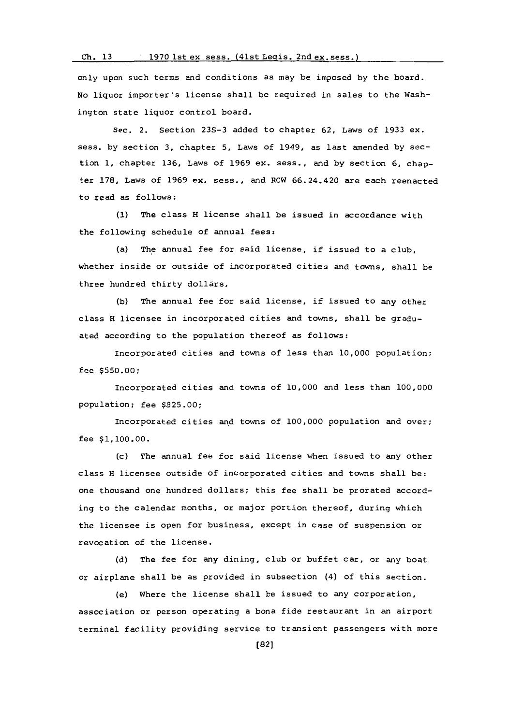# **Ch. 13 1970** lst ex. sess. (41st Leois. 2nd ex. sess. **<sup>I</sup>**

only upon such terms and conditions as may be imposed **by** the board. **No** liquor importer's license shall be required in sales to the Washington state liquor control board.

Sec. 2. Section **23S-3** added to chapter **62,** Laws of **1933** ex. sess. **by** section **3,** chapter **5,** Laws of 1949, as last amended **by** section **1,** chapter **136,** Laws of **1969** ex. sess., and **by** section **6,** chapter **178,** Laws of **1969** ex. sass., and RCW 66.24.420 are each reenacted to read as follows:

**(1)** The class H license shall be issued in accordance with the following schedule of annual fees:

(a) The annual fee for said license, if issued to a club, whether inside or outside of incorporated cities and towns, shall be three hundred thirty dollars.

**(b)** The annual fee for said license, if issued to any other class H licensee in incorporated cities and towns, shall be graduated according to the population thereof as follows:

Incorporated cities and towns of less than **10,000** population; fee **\$550.00;**

Incorporated cities and towns of **10,000** and less than **100,000** population; fee **\$825.00;**

Incorporated cities and towns of **100,000** population and over; fee **\$1,100.00.**

(c) The annual fee for said license when issued to any other class H licensee outside of incorporated cities and towns shall be: one thousand one hundred dollars; this fee shall be prorated according to the calendar months, or major portion thereof, during which the licensee is open for business, except in case of suspension or revocation of the license.

**(d)** The fee for any dining, club or buffet car, or any boat or airplane shall be as provided in subsection (4) of this section.

(e) Where the license shall be issued to any corporation, association or person operating a bona fide restaurant in an airport terminal facility providing service to transient passengers with more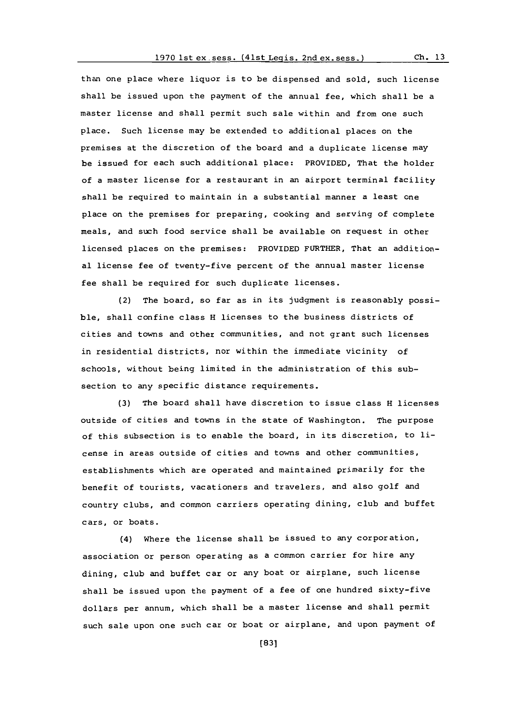than one place where liquor is to be dispensed and sold, such license shall be issued upon the payment **of** the annual fee, which shall be a master license and shall permit such sale within and from one such place. Such license may be extended to additional places on the premises at the discretion of the board and a duplicate license may be issued for each such additional place: PROVIDED, That the holder of a master license for a restaurant in an airport terminal facility shall be required to maintain in a substantial manner a least one place on the premises for preparing, cooking and serving of complete meals, and such food service shall be available on request in other licensed places on the premises: PROVIDED FURTHER, That an additional license fee of twenty-five percent of the annual master license fee shall be required for such duplicate licenses.

(2) The board, so far as in its judgment is reasonably possible, shall confine class H licenses to the business districts of cities and towns and other communities, and not grant such licenses in residential districts, nor within the immediate vicinity of schools, without being limited in the administration of this subsection to any specific distance requirements.

**(3)** The board shall have discretion to issue class H licenses outside of cities and towns in the state of Washington. The purpose of this subsection is to enable the board, in its discretion, to license in areas outside of cities and towns and other communities, establishments which are operated and maintained primarily for the benefit of tourists, vacationers and travelers, and also golf and country clubs, and common carriers operating dining, club and buffet cars, or boats.

(4) Where the license shall be issued to any corporation, association or person operating as a common carrier for hire any dining, club and buffet car or any boat or airplane, such license shall be issued upon the payment of a fee of one hundred sixty-five dollars per annum, which shall be a master license and shall permit such sale upon one such car or boat or airplane, and upon payment **of**

**[831**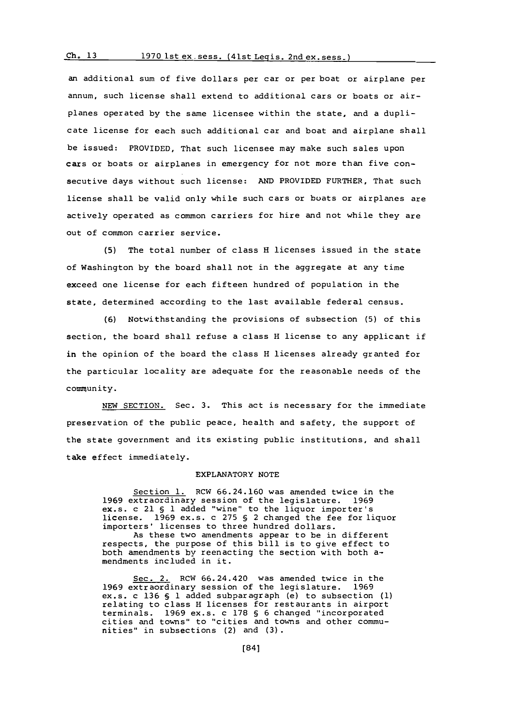#### **Ch. 13**1970 lst ex. sess. (41st Legis. 2nd ex. sess.)

an additional sum of five dollars per car or per boat or airplane per annum, such license shall extend to additional cars or boats or airplanes operated **by** the same licensee within the state, and a duplicate license for each such additional car and boat and airplane shall be issued: PROVIDED, That such licensee may make such sales upon cars or boats or airplanes in emergency for not more than five consecutive days without such license: **AND** PROVIDED FURTHER, That such license shall be valid only while such cars or buats or airplanes are actively operated as common carriers for hire and not while they are out of common carrier service.

**(5)** The total number of class H licenses issued in the state of Washington **by** the board shall not in the aggregate at any time exceed one license for each fifteen hundred of population in the state, determined according to the last available federal census.

**(6)** Notwithstanding the provisions of subsection **(5)** of this section, the board shall refuse a class H license to any applicant if in the opinion of the board the class H licenses already granted for the particular locality are adequate for the reasonable needs of the community.

**NEW** SECTION. Sec. **3.** This act is necessary for the immediate preservation of the public peace, health and safety, the support of the state government and its existing public institutions, and shall take effect immediately.

### EXPLANATORY **NOTE**

Section **1.** RCW **66.24.160** was amended twice in the **1969** extraordinary session of the legislature. **1969** ex.s. c 21 **§ 1** added "wine" to the liquor importer's license. **1969** ex.s. c **275 §** 2 changed the fee for liquor importers' licenses to three hundred dollars. As these two amendments appear to be in different respects, the purpose of this bill is to give effect to both amendments by reenacting the section with both amendments included in it.

Sec. 2. RCW 66.24.420 was amended twice in the xtraordinary session of the legislature. 1969 **1969** extraordinary session of the legislature. **1969** ex.s. c **136 § 1** added subparagraph (a) to subsection **(1)** relating to class H licenses for restaurants in airport terminals. **1969** ex.s. c **178 § 6** changed "incorporated cities and towns" to "cities and towns and other communities" in subsections (2) and **(3).**